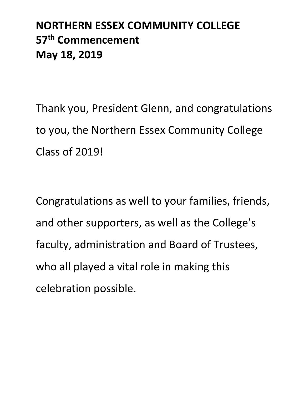## **NORTHERN ESSEX COMMUNITY COLLEGE 57th Commencement May 18, 2019**

Thank you, President Glenn, and congratulations to you, the Northern Essex Community College Class of 2019!

Congratulations as well to your families, friends, and other supporters, as well as the College's faculty, administration and Board of Trustees, who all played a vital role in making this celebration possible.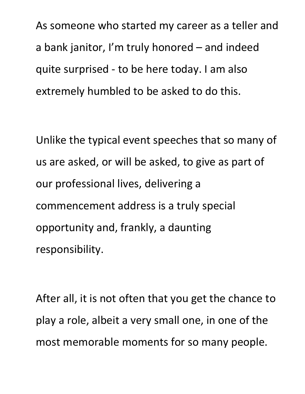As someone who started my career as a teller and a bank janitor, I'm truly honored – and indeed quite surprised - to be here today. I am also extremely humbled to be asked to do this.

Unlike the typical event speeches that so many of us are asked, or will be asked, to give as part of our professional lives, delivering a commencement address is a truly special opportunity and, frankly, a daunting responsibility.

After all, it is not often that you get the chance to play a role, albeit a very small one, in one of the most memorable moments for so many people.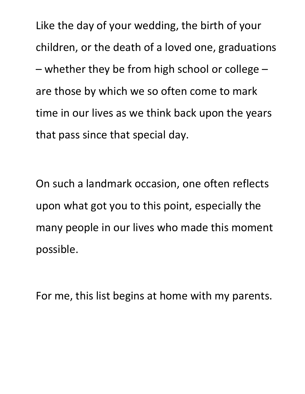Like the day of your wedding, the birth of your children, or the death of a loved one, graduations – whether they be from high school or college – are those by which we so often come to mark time in our lives as we think back upon the years that pass since that special day.

On such a landmark occasion, one often reflects upon what got you to this point, especially the many people in our lives who made this moment possible.

For me, this list begins at home with my parents.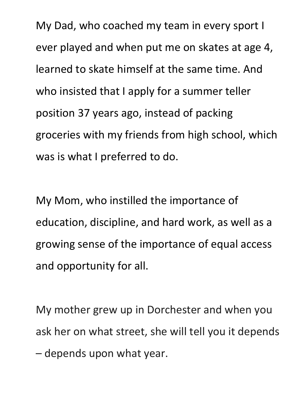My Dad, who coached my team in every sport I ever played and when put me on skates at age 4, learned to skate himself at the same time. And who insisted that I apply for a summer teller position 37 years ago, instead of packing groceries with my friends from high school, which was is what I preferred to do.

My Mom, who instilled the importance of education, discipline, and hard work, as well as a growing sense of the importance of equal access and opportunity for all.

My mother grew up in Dorchester and when you ask her on what street, she will tell you it depends – depends upon what year.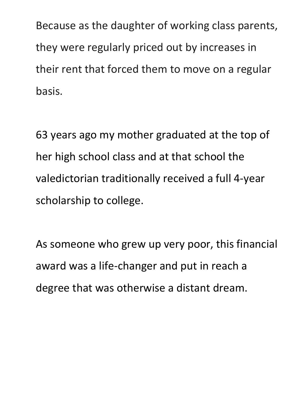Because as the daughter of working class parents, they were regularly priced out by increases in their rent that forced them to move on a regular basis.

63 years ago my mother graduated at the top of her high school class and at that school the valedictorian traditionally received a full 4-year scholarship to college.

As someone who grew up very poor, this financial award was a life-changer and put in reach a degree that was otherwise a distant dream.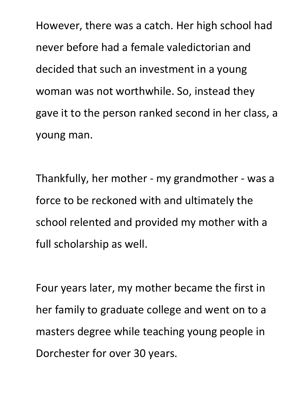However, there was a catch. Her high school had never before had a female valedictorian and decided that such an investment in a young woman was not worthwhile. So, instead they gave it to the person ranked second in her class, a young man.

Thankfully, her mother - my grandmother - was a force to be reckoned with and ultimately the school relented and provided my mother with a full scholarship as well.

Four years later, my mother became the first in her family to graduate college and went on to a masters degree while teaching young people in Dorchester for over 30 years.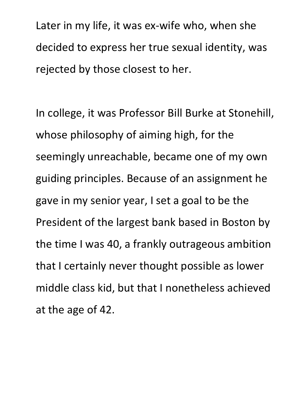Later in my life, it was ex-wife who, when she decided to express her true sexual identity, was rejected by those closest to her.

In college, it was Professor Bill Burke at Stonehill, whose philosophy of aiming high, for the seemingly unreachable, became one of my own guiding principles. Because of an assignment he gave in my senior year, I set a goal to be the President of the largest bank based in Boston by the time I was 40, a frankly outrageous ambition that I certainly never thought possible as lower middle class kid, but that I nonetheless achieved at the age of 42.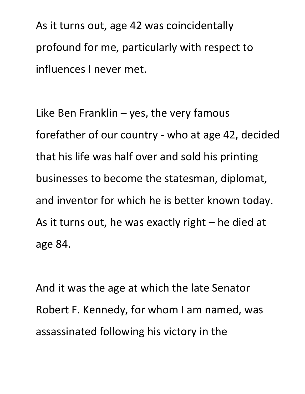As it turns out, age 42 was coincidentally profound for me, particularly with respect to influences I never met.

Like Ben Franklin  $-$  yes, the very famous forefather of our country - who at age 42, decided that his life was half over and sold his printing businesses to become the statesman, diplomat, and inventor for which he is better known today. As it turns out, he was exactly right – he died at age 84.

And it was the age at which the late Senator Robert F. Kennedy, for whom I am named, was assassinated following his victory in the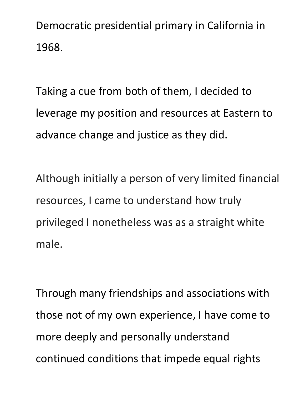Democratic presidential primary in California in 1968.

Taking a cue from both of them, I decided to leverage my position and resources at Eastern to advance change and justice as they did.

Although initially a person of very limited financial resources, I came to understand how truly privileged I nonetheless was as a straight white male.

Through many friendships and associations with those not of my own experience, I have come to more deeply and personally understand continued conditions that impede equal rights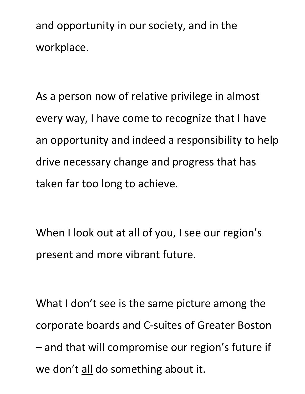and opportunity in our society, and in the workplace.

As a person now of relative privilege in almost every way, I have come to recognize that I have an opportunity and indeed a responsibility to help drive necessary change and progress that has taken far too long to achieve.

When I look out at all of you, I see our region's present and more vibrant future.

What I don't see is the same picture among the corporate boards and C-suites of Greater Boston – and that will compromise our region's future if we don't all do something about it.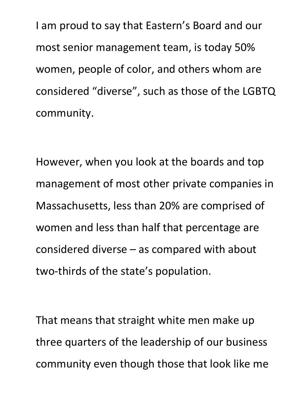I am proud to say that Eastern's Board and our most senior management team, is today 50% women, people of color, and others whom are considered "diverse", such as those of the LGBTQ community.

However, when you look at the boards and top management of most other private companies in Massachusetts, less than 20% are comprised of women and less than half that percentage are considered diverse – as compared with about two-thirds of the state's population.

That means that straight white men make up three quarters of the leadership of our business community even though those that look like me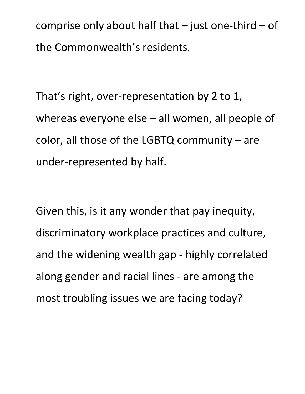comprise only about half that  $-$  just one-third  $-$  of the Commonwealth's residents.

That's right, over-representation by 2 to 1, whereas everyone else – all women, all people of color, all those of the LGBTQ community – are under-represented by half.

Given this, is it any wonder that pay inequity, discriminatory workplace practices and culture, and the widening wealth gap - highly correlated along gender and racial lines - are among the most troubling issues we are facing today?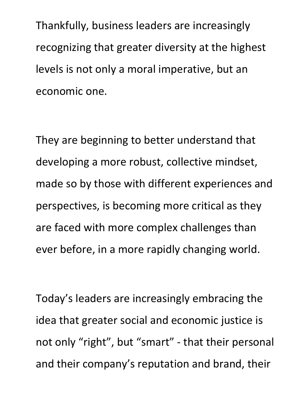Thankfully, business leaders are increasingly recognizing that greater diversity at the highest levels is not only a moral imperative, but an economic one.

They are beginning to better understand that developing a more robust, collective mindset, made so by those with different experiences and perspectives, is becoming more critical as they are faced with more complex challenges than ever before, in a more rapidly changing world.

Today's leaders are increasingly embracing the idea that greater social and economic justice is not only "right", but "smart" - that their personal and their company's reputation and brand, their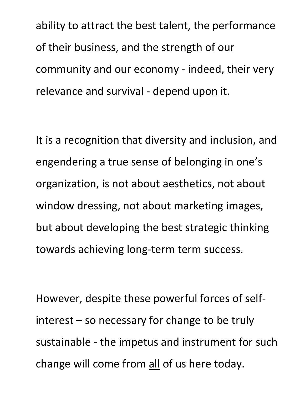ability to attract the best talent, the performance of their business, and the strength of our community and our economy - indeed, their very relevance and survival - depend upon it.

It is a recognition that diversity and inclusion, and engendering a true sense of belonging in one's organization, is not about aesthetics, not about window dressing, not about marketing images, but about developing the best strategic thinking towards achieving long-term term success.

However, despite these powerful forces of selfinterest – so necessary for change to be truly sustainable - the impetus and instrument for such change will come from all of us here today.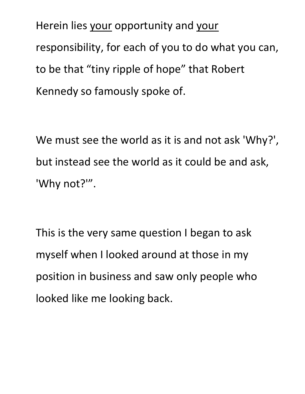Herein lies your opportunity and your responsibility, for each of you to do what you can, to be that "tiny ripple of hope" that Robert Kennedy so famously spoke of.

We must see the world as it is and not ask 'Why?', but instead see the world as it could be and ask, 'Why not?'".

This is the very same question I began to ask myself when I looked around at those in my position in business and saw only people who looked like me looking back.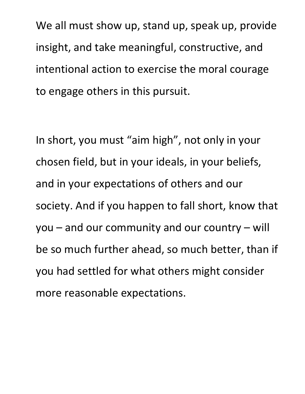We all must show up, stand up, speak up, provide insight, and take meaningful, constructive, and intentional action to exercise the moral courage to engage others in this pursuit.

In short, you must "aim high", not only in your chosen field, but in your ideals, in your beliefs, and in your expectations of others and our society. And if you happen to fall short, know that you – and our community and our country – will be so much further ahead, so much better, than if you had settled for what others might consider more reasonable expectations.